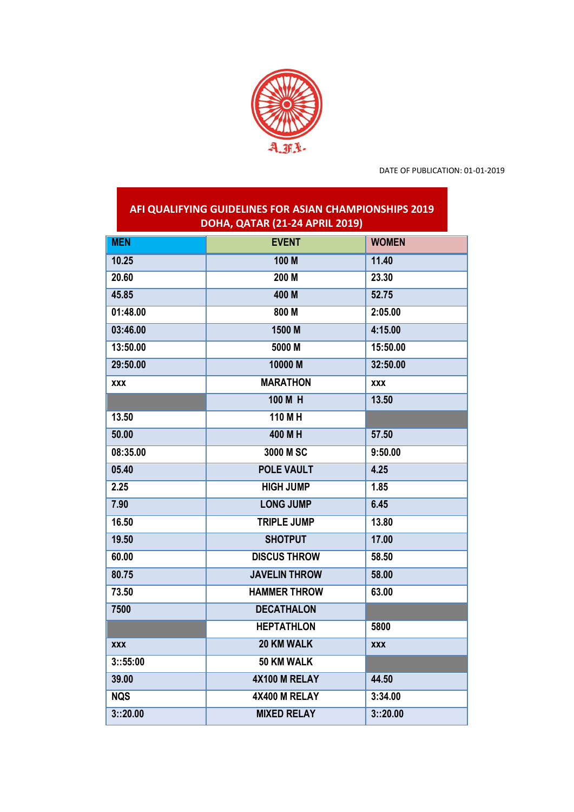

DATE OF PUBLICATION: 01-01-2019

## **AFI QUALIFYING GUIDELINES FOR ASIAN CHAMPIONSHIPS 2019 DOHA, QATAR (21-24 APRIL 2019)**

| <b>MEN</b> | <b>EVENT</b>         | <b>WOMEN</b> |
|------------|----------------------|--------------|
| 10.25      | 100 M                | 11.40        |
| 20.60      | 200 M                | 23.30        |
| 45.85      | 400 M                | 52.75        |
| 01:48.00   | 800 M                | 2:05.00      |
| 03:46.00   | 1500 M               | 4:15.00      |
| 13:50.00   | 5000 M               | 15:50.00     |
| 29:50.00   | 10000 M              | 32:50.00     |
| <b>XXX</b> | <b>MARATHON</b>      | <b>XXX</b>   |
|            | 100 M H              | 13.50        |
| 13.50      | $110$ M H            |              |
| 50.00      | 400 M H              | 57.50        |
| 08:35.00   | 3000 M SC            | 9:50.00      |
| 05.40      | <b>POLE VAULT</b>    | 4.25         |
| 2.25       | <b>HIGH JUMP</b>     | 1.85         |
| 7.90       | <b>LONG JUMP</b>     | 6.45         |
| 16.50      | <b>TRIPLE JUMP</b>   | 13.80        |
| 19.50      | <b>SHOTPUT</b>       | 17.00        |
| 60.00      | <b>DISCUS THROW</b>  | 58.50        |
| 80.75      | <b>JAVELIN THROW</b> | 58.00        |
| 73.50      | <b>HAMMER THROW</b>  | 63.00        |
| 7500       | <b>DECATHALON</b>    |              |
|            | <b>HEPTATHLON</b>    | 5800         |
| <b>XXX</b> | <b>20 KM WALK</b>    | <b>XXX</b>   |
| 3:35:00    | 50 KM WALK           |              |
| 39.00      | 4X100 M RELAY        | 44.50        |
| <b>NQS</b> | 4X400 M RELAY        | 3:34.00      |
| 3:20.00    | <b>MIXED RELAY</b>   | 3::20.00     |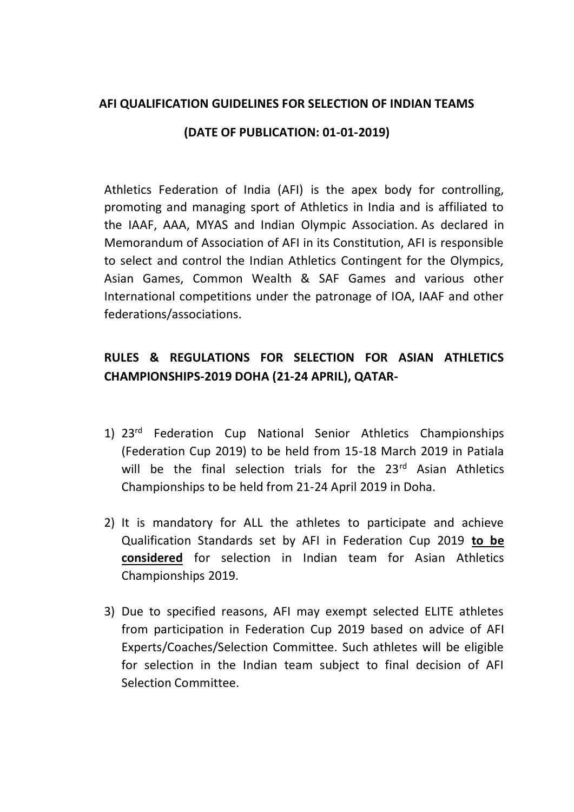## **AFI QUALIFICATION GUIDELINES FOR SELECTION OF INDIAN TEAMS**

## **(DATE OF PUBLICATION: 01-01-2019)**

Athletics Federation of India (AFI) is the apex body for controlling, promoting and managing sport of Athletics in India and is affiliated to the IAAF, AAA, MYAS and Indian Olympic Association. As declared in Memorandum of Association of AFI in its Constitution, AFI is responsible to select and control the Indian Athletics Contingent for the Olympics, Asian Games, Common Wealth & SAF Games and various other International competitions under the patronage of IOA, IAAF and other federations/associations.

## **RULES & REGULATIONS FOR SELECTION FOR ASIAN ATHLETICS CHAMPIONSHIPS-2019 DOHA (21-24 APRIL), QATAR-**

- 1) 23<sup>rd</sup> Federation Cup National Senior Athletics Championships (Federation Cup 2019) to be held from 15-18 March 2019 in Patiala will be the final selection trials for the 23<sup>rd</sup> Asian Athletics Championships to be held from 21-24 April 2019 in Doha.
- 2) It is mandatory for ALL the athletes to participate and achieve Qualification Standards set by AFI in Federation Cup 2019 **to be considered** for selection in Indian team for Asian Athletics Championships 2019.
- 3) Due to specified reasons, AFI may exempt selected ELITE athletes from participation in Federation Cup 2019 based on advice of AFI Experts/Coaches/Selection Committee. Such athletes will be eligible for selection in the Indian team subject to final decision of AFI Selection Committee.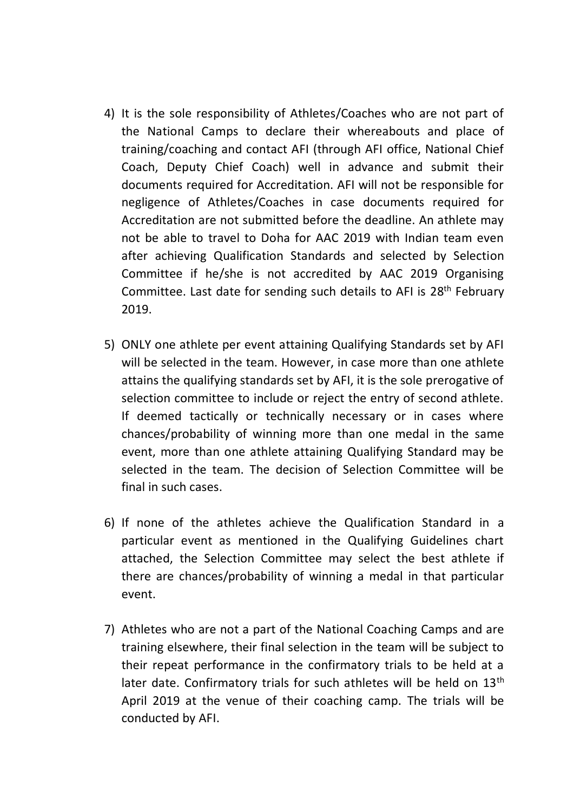- 4) It is the sole responsibility of Athletes/Coaches who are not part of the National Camps to declare their whereabouts and place of training/coaching and contact AFI (through AFI office, National Chief Coach, Deputy Chief Coach) well in advance and submit their documents required for Accreditation. AFI will not be responsible for negligence of Athletes/Coaches in case documents required for Accreditation are not submitted before the deadline. An athlete may not be able to travel to Doha for AAC 2019 with Indian team even after achieving Qualification Standards and selected by Selection Committee if he/she is not accredited by AAC 2019 Organising Committee. Last date for sending such details to AFI is 28<sup>th</sup> February 2019.
- 5) ONLY one athlete per event attaining Qualifying Standards set by AFI will be selected in the team. However, in case more than one athlete attains the qualifying standards set by AFI, it is the sole prerogative of selection committee to include or reject the entry of second athlete. If deemed tactically or technically necessary or in cases where chances/probability of winning more than one medal in the same event, more than one athlete attaining Qualifying Standard may be selected in the team. The decision of Selection Committee will be final in such cases.
- 6) If none of the athletes achieve the Qualification Standard in a particular event as mentioned in the Qualifying Guidelines chart attached, the Selection Committee may select the best athlete if there are chances/probability of winning a medal in that particular event.
- 7) Athletes who are not a part of the National Coaching Camps and are training elsewhere, their final selection in the team will be subject to their repeat performance in the confirmatory trials to be held at a later date. Confirmatory trials for such athletes will be held on 13<sup>th</sup> April 2019 at the venue of their coaching camp. The trials will be conducted by AFI.